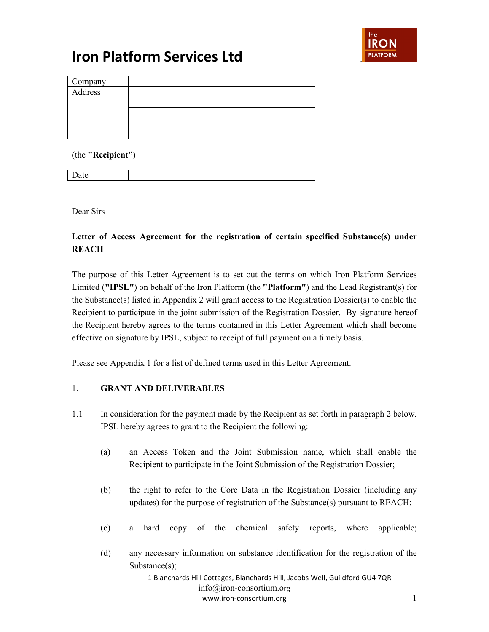

| Company<br>Address |  |
|--------------------|--|
|                    |  |
|                    |  |
|                    |  |
|                    |  |
|                    |  |
|                    |  |

(the **"Recipient"**)

Date

Dear Sirs

### **Letter of Access Agreement for the registration of certain specified Substance(s) under REACH**

The purpose of this Letter Agreement is to set out the terms on which Iron Platform Services Limited (**"IPSL"**) on behalf of the Iron Platform (the **"Platform"**) and the Lead Registrant(s) for the Substance(s) listed in Appendix 2 will grant access to the Registration Dossier(s) to enable the Recipient to participate in the joint submission of the Registration Dossier. By signature hereof the Recipient hereby agrees to the terms contained in this Letter Agreement which shall become effective on signature by IPSL, subject to receipt of full payment on a timely basis.

Please see Appendix 1 for a list of defined terms used in this Letter Agreement.

### 1. **GRANT AND DELIVERABLES**

- 1.1 In consideration for the payment made by the Recipient as set forth in paragraph 2 below, IPSL hereby agrees to grant to the Recipient the following:
	- (a) an Access Token and the Joint Submission name, which shall enable the Recipient to participate in the Joint Submission of the Registration Dossier;
	- (b) the right to refer to the Core Data in the Registration Dossier (including any updates) for the purpose of registration of the Substance(s) pursuant to REACH;
	- (c) a hard copy of the chemical safety reports, where applicable;
	- (d) any necessary information on substance identification for the registration of the Substance(s);

1 Blanchards Hill Cottages, Blanchards Hill, Jacobs Well, Guildford GU4 7QR info@iron-consortium.org www.iron-consortium.org 1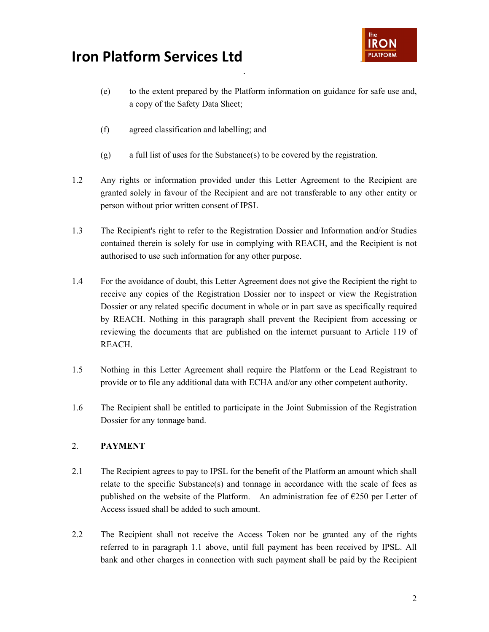

(e) to the extent prepared by the Platform information on guidance for safe use and, a copy of the Safety Data Sheet;

.

- (f) agreed classification and labelling; and
- (g) a full list of uses for the Substance(s) to be covered by the registration.
- 1.2 Any rights or information provided under this Letter Agreement to the Recipient are granted solely in favour of the Recipient and are not transferable to any other entity or person without prior written consent of IPSL
- 1.3 The Recipient's right to refer to the Registration Dossier and Information and/or Studies contained therein is solely for use in complying with REACH, and the Recipient is not authorised to use such information for any other purpose.
- 1.4 For the avoidance of doubt, this Letter Agreement does not give the Recipient the right to receive any copies of the Registration Dossier nor to inspect or view the Registration Dossier or any related specific document in whole or in part save as specifically required by REACH. Nothing in this paragraph shall prevent the Recipient from accessing or reviewing the documents that are published on the internet pursuant to Article 119 of REACH.
- 1.5 Nothing in this Letter Agreement shall require the Platform or the Lead Registrant to provide or to file any additional data with ECHA and/or any other competent authority.
- 1.6 The Recipient shall be entitled to participate in the Joint Submission of the Registration Dossier for any tonnage band.

### 2. **PAYMENT**

- 2.1 The Recipient agrees to pay to IPSL for the benefit of the Platform an amount which shall relate to the specific Substance(s) and tonnage in accordance with the scale of fees as published on the website of the Platform. An administration fee of  $\epsilon$ 250 per Letter of Access issued shall be added to such amount.
- 2.2 The Recipient shall not receive the Access Token nor be granted any of the rights referred to in paragraph 1.1 above, until full payment has been received by IPSL. All bank and other charges in connection with such payment shall be paid by the Recipient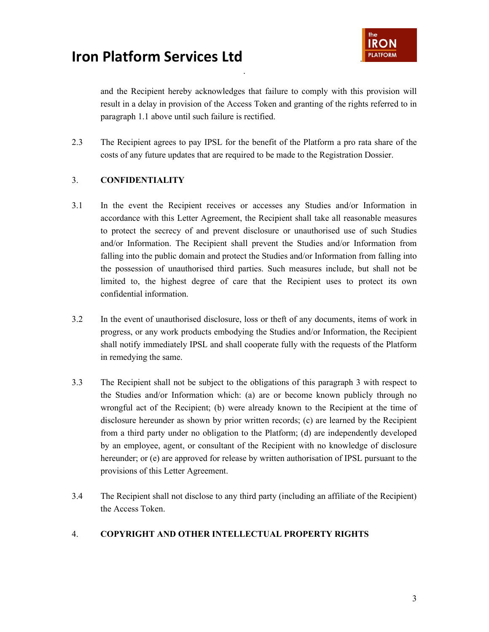

and the Recipient hereby acknowledges that failure to comply with this provision will result in a delay in provision of the Access Token and granting of the rights referred to in paragraph 1.1 above until such failure is rectified.

2.3 The Recipient agrees to pay IPSL for the benefit of the Platform a pro rata share of the costs of any future updates that are required to be made to the Registration Dossier.

.

### 3. **CONFIDENTIALITY**

- 3.1 In the event the Recipient receives or accesses any Studies and/or Information in accordance with this Letter Agreement, the Recipient shall take all reasonable measures to protect the secrecy of and prevent disclosure or unauthorised use of such Studies and/or Information. The Recipient shall prevent the Studies and/or Information from falling into the public domain and protect the Studies and/or Information from falling into the possession of unauthorised third parties. Such measures include, but shall not be limited to, the highest degree of care that the Recipient uses to protect its own confidential information.
- 3.2 In the event of unauthorised disclosure, loss or theft of any documents, items of work in progress, or any work products embodying the Studies and/or Information, the Recipient shall notify immediately IPSL and shall cooperate fully with the requests of the Platform in remedying the same.
- 3.3 The Recipient shall not be subject to the obligations of this paragraph 3 with respect to the Studies and/or Information which: (a) are or become known publicly through no wrongful act of the Recipient; (b) were already known to the Recipient at the time of disclosure hereunder as shown by prior written records; (c) are learned by the Recipient from a third party under no obligation to the Platform; (d) are independently developed by an employee, agent, or consultant of the Recipient with no knowledge of disclosure hereunder; or (e) are approved for release by written authorisation of IPSL pursuant to the provisions of this Letter Agreement.
- 3.4 The Recipient shall not disclose to any third party (including an affiliate of the Recipient) the Access Token.

### 4. **COPYRIGHT AND OTHER INTELLECTUAL PROPERTY RIGHTS**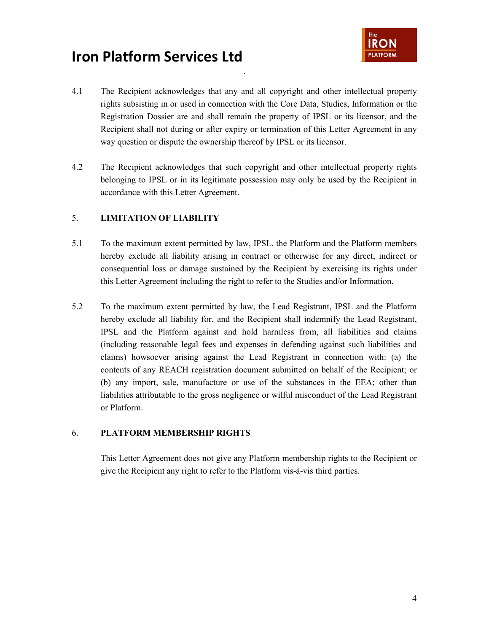



4.1 The Recipient acknowledges that any and all copyright and other intellectual property rights subsisting in or used in connection with the Core Data, Studies, Information or the Registration Dossier are and shall remain the property of IPSL or its licensor, and the Recipient shall not during or after expiry or termination of this Letter Agreement in any way question or dispute the ownership thereof by IPSL or its licensor.

.

4.2 The Recipient acknowledges that such copyright and other intellectual property rights belonging to IPSL or in its legitimate possession may only be used by the Recipient in accordance with this Letter Agreement.

#### 5. **LIMITATION OF LIABILITY**

- 5.1 To the maximum extent permitted by law, IPSL, the Platform and the Platform members hereby exclude all liability arising in contract or otherwise for any direct, indirect or consequential loss or damage sustained by the Recipient by exercising its rights under this Letter Agreement including the right to refer to the Studies and/or Information.
- 5.2 To the maximum extent permitted by law, the Lead Registrant, IPSL and the Platform hereby exclude all liability for, and the Recipient shall indemnify the Lead Registrant, IPSL and the Platform against and hold harmless from, all liabilities and claims (including reasonable legal fees and expenses in defending against such liabilities and claims) howsoever arising against the Lead Registrant in connection with: (a) the contents of any REACH registration document submitted on behalf of the Recipient; or (b) any import, sale, manufacture or use of the substances in the EEA; other than liabilities attributable to the gross negligence or wilful misconduct of the Lead Registrant or Platform.

#### 6. **PLATFORM MEMBERSHIP RIGHTS**

This Letter Agreement does not give any Platform membership rights to the Recipient or give the Recipient any right to refer to the Platform vis-à-vis third parties.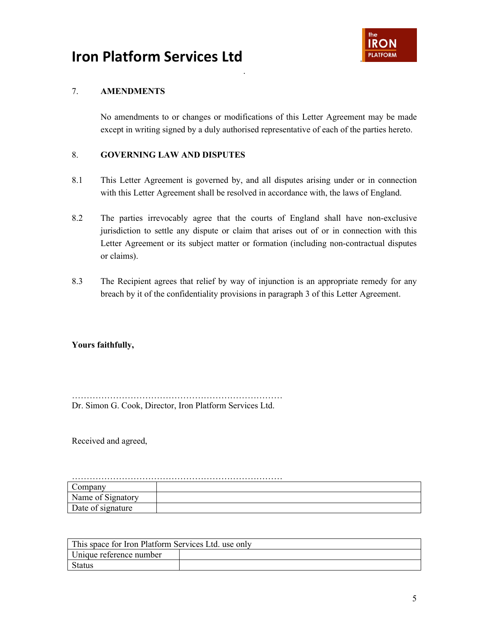

### 7. **AMENDMENTS**

No amendments to or changes or modifications of this Letter Agreement may be made except in writing signed by a duly authorised representative of each of the parties hereto.

### 8. **GOVERNING LAW AND DISPUTES**

8.1 This Letter Agreement is governed by, and all disputes arising under or in connection with this Letter Agreement shall be resolved in accordance with, the laws of England.

.

- 8.2 The parties irrevocably agree that the courts of England shall have non-exclusive jurisdiction to settle any dispute or claim that arises out of or in connection with this Letter Agreement or its subject matter or formation (including non-contractual disputes or claims).
- 8.3 The Recipient agrees that relief by way of injunction is an appropriate remedy for any breach by it of the confidentiality provisions in paragraph 3 of this Letter Agreement.

### **Yours faithfully,**

……………………………………………………………… Dr. Simon G. Cook, Director, Iron Platform Services Ltd.

Received and agreed,

| Name of Signatory |  |  |  |  |
|-------------------|--|--|--|--|
| Date of signature |  |  |  |  |

| This space for Iron Platform Services Ltd. use only |  |  |  |
|-----------------------------------------------------|--|--|--|
| Unique reference number                             |  |  |  |
| Status                                              |  |  |  |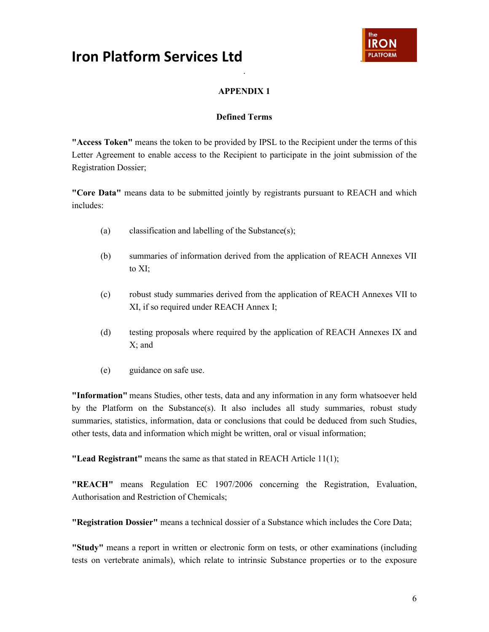

### **APPENDIX 1**

.

#### **Defined Terms**

**"Access Token"** means the token to be provided by IPSL to the Recipient under the terms of this Letter Agreement to enable access to the Recipient to participate in the joint submission of the Registration Dossier;

**"Core Data"** means data to be submitted jointly by registrants pursuant to REACH and which includes:

- (a) classification and labelling of the Substance(s);
- (b) summaries of information derived from the application of REACH Annexes VII to XI;
- (c) robust study summaries derived from the application of REACH Annexes VII to XI, if so required under REACH Annex I;
- (d) testing proposals where required by the application of REACH Annexes IX and X; and
- (e) guidance on safe use.

**"Information"** means Studies, other tests, data and any information in any form whatsoever held by the Platform on the Substance(s). It also includes all study summaries, robust study summaries, statistics, information, data or conclusions that could be deduced from such Studies, other tests, data and information which might be written, oral or visual information;

**"Lead Registrant"** means the same as that stated in REACH Article 11(1);

**"REACH"** means Regulation EC 1907/2006 concerning the Registration, Evaluation, Authorisation and Restriction of Chemicals;

**"Registration Dossier"** means a technical dossier of a Substance which includes the Core Data;

**"Study"** means a report in written or electronic form on tests, or other examinations (including tests on vertebrate animals), which relate to intrinsic Substance properties or to the exposure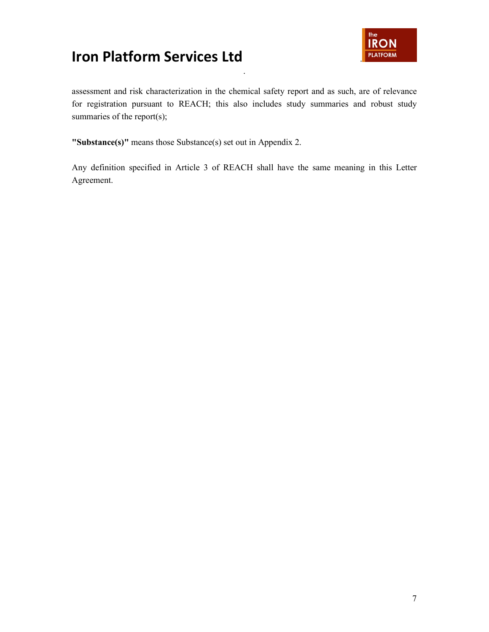

assessment and risk characterization in the chemical safety report and as such, are of relevance for registration pursuant to REACH; this also includes study summaries and robust study summaries of the report(s);

.

**"Substance(s)"** means those Substance(s) set out in Appendix 2.

Any definition specified in Article 3 of REACH shall have the same meaning in this Letter Agreement.